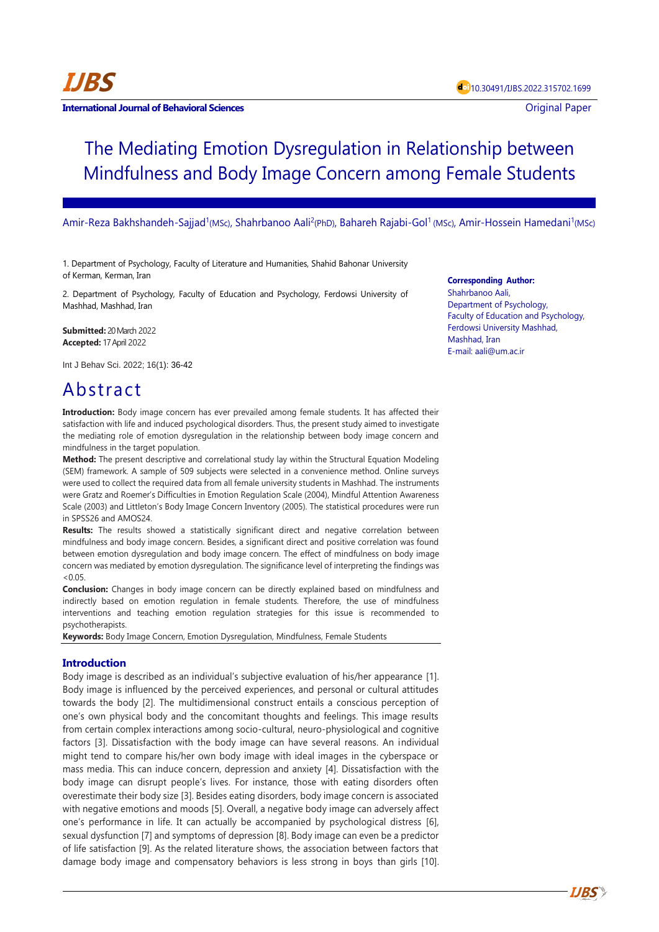

#### **International Journal of Behavioral Sciences Contract Contract Contract Contract Contract Contract Contract Contract Contract Contract Contract Contract Contract Contract Contract Contract Contract Contract Contract Con**

# The Mediating Emotion Dysregulation in Relationship between Mindfulness and Body Image Concern among Female Students

Amir-Reza Bakhshandeh-Sajjad<sup>1</sup>(MSc), Shahrbanoo Aali<sup>2</sup>(PhD), Bahareh Rajabi-Gol<sup>1</sup> (MSc), Amir-Hossein Hamedani<sup>1</sup>(MSc)

1. Department of Psychology, Faculty of Literature and Humanities, Shahid Bahonar University of Kerman, Kerman, Iran

2. Department of Psychology, Faculty of Education and Psychology, Ferdowsi University of Mashhad, Mashhad, Iran

**Submitted:** 20 March 2022 **Accepted:** 17 April 2022

Int J Behav Sci. 2022; 16(1): 36-42

# Abstract

**Introduction:** Body image concern has ever prevailed among female students. It has affected their satisfaction with life and induced psychological disorders. Thus, the present study aimed to investigate the mediating role of emotion dysregulation in the relationship between body image concern and mindfulness in the target population.

**Method:** The present descriptive and correlational study lay within the Structural Equation Modeling (SEM) framework. A sample of 509 subjects were selected in a convenience method. Online surveys were used to collect the required data from all female university students in Mashhad. The instruments were Gratz and Roemer's Difficulties in Emotion Regulation Scale (2004), Mindful Attention Awareness Scale (2003) and Littleton's Body Image Concern Inventory (2005). The statistical procedures were run in SPSS26 and AMOS24.

**Results:** The results showed a statistically significant direct and negative correlation between mindfulness and body image concern. Besides, a significant direct and positive correlation was found between emotion dysregulation and body image concern. The effect of mindfulness on body image concern was mediated by emotion dysregulation. The significance level of interpreting the findings was  $< 0.05$ 

**Conclusion:** Changes in body image concern can be directly explained based on mindfulness and indirectly based on emotion regulation in female students. Therefore, the use of mindfulness interventions and teaching emotion regulation strategies for this issue is recommended to psychotherapists.

**Keywords:** Body Image Concern, Emotion Dysregulation, Mindfulness, Female Students

# **Introduction**

Body image is described as an individual's subjective evaluation of his/her appearance [1]. Body image is influenced by the perceived experiences, and personal or cultural attitudes towards the body [2]. The multidimensional construct entails a conscious perception of one's own physical body and the concomitant thoughts and feelings. This image results from certain complex interactions among socio-cultural, neuro-physiological and cognitive factors [3]. Dissatisfaction with the body image can have several reasons. An individual might tend to compare his/her own body image with ideal images in the cyberspace or mass media. This can induce concern, depression and anxiety [4]. Dissatisfaction with the body image can disrupt people's lives. For instance, those with eating disorders often overestimate their body size [3]. Besides eating disorders, body image concern is associated with negative emotions and moods [5]. Overall, a negative body image can adversely affect one's performance in life. It can actually be accompanied by psychological distress [6], sexual dysfunction [7] and symptoms of depression [8]. Body image can even be a predictor of life satisfaction [9]. As the related literature shows, the association between factors that damage body image and compensatory behaviors is less strong in boys than girls [10].

#### **Corresponding Author:**

Shahrbanoo Aali, Department of Psychology, Faculty of Education and Psychology, Ferdowsi University Mashhad, Mashhad, Iran E-mail: aali@um.ac.ir

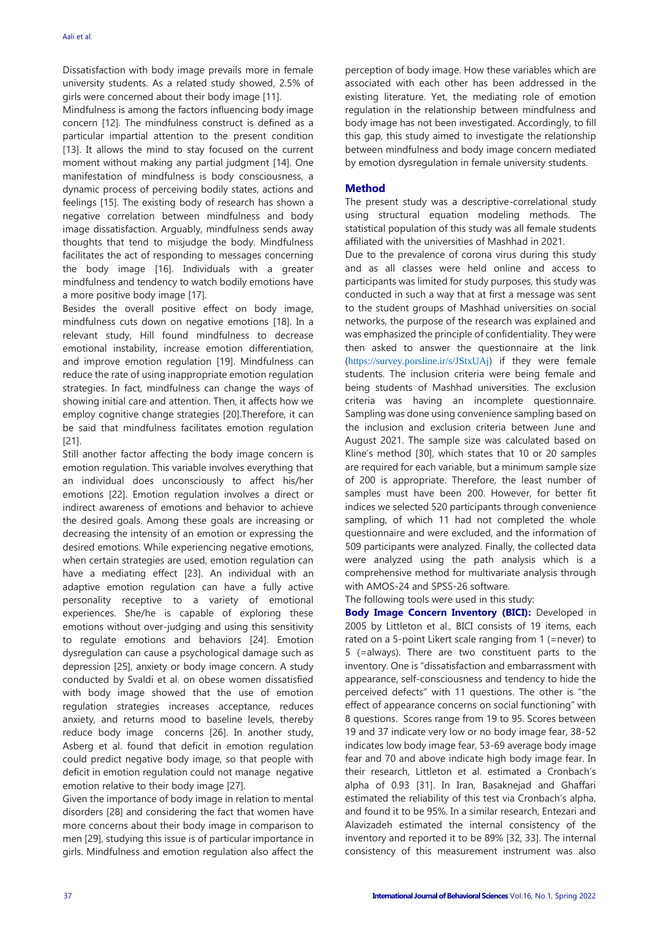Dissatisfaction with body image prevails more in female university students. As a related study showed, 2.5% of girls were concerned about their body image [11].

Mindfulness is among the factors influencing body image concern [12]. The mindfulness construct is defined as a particular impartial attention to the present condition [13]. It allows the mind to stay focused on the current moment without making any partial judgment [14]. One manifestation of mindfulness is body consciousness, a dynamic process of perceiving bodily states, actions and feelings [15]. The existing body of research has shown a negative correlation between mindfulness and body image dissatisfaction. Arguably, mindfulness sends away thoughts that tend to misjudge the body. Mindfulness facilitates the act of responding to messages concerning the body image [16]. Individuals with a greater mindfulness and tendency to watch bodily emotions have a more positive body image [17].

Besides the overall positive effect on body image, mindfulness cuts down on negative emotions [18]. In a relevant study, Hill found mindfulness to decrease emotional instability, increase emotion differentiation, and improve emotion regulation [19]. Mindfulness can reduce the rate of using inappropriate emotion regulation strategies. In fact, mindfulness can change the ways of showing initial care and attention. Then, it affects how we employ cognitive change strategies [20].Therefore, it can be said that mindfulness facilitates emotion regulation [21].

Still another factor affecting the body image concern is emotion regulation. This variable involves everything that an individual does unconsciously to affect his/her emotions [22]. Emotion regulation involves a direct or indirect awareness of emotions and behavior to achieve the desired goals. Among these goals are increasing or decreasing the intensity of an emotion or expressing the desired emotions. While experiencing negative emotions, when certain strategies are used, emotion regulation can have a mediating effect [23]. An individual with an adaptive emotion regulation can have a fully active personality receptive to a variety of emotional experiences. She/he is capable of exploring these emotions without over-judging and using this sensitivity to regulate emotions and behaviors [24]. Emotion dysregulation can cause a psychological damage such as depression [25], anxiety or body image concern. A study conducted by Svaldi et al. on obese women dissatisfied with body image showed that the use of emotion regulation strategies increases acceptance, reduces anxiety, and returns mood to baseline levels, thereby reduce body image concerns [26]. In another study, Asberg et al. found that deficit in emotion regulation could predict negative body image, so that people with deficit in emotion regulation could not manage negative emotion relative to their body image [27].

Given the importance of body image in relation to mental disorders [28] and considering the fact that women have more concerns about their body image in comparison to men [29], studying this issue is of particular importance in girls. Mindfulness and emotion regulation also affect the perception of body image. How these variables which are associated with each other has been addressed in the existing literature. Yet, the mediating role of emotion regulation in the relationship between mindfulness and body image has not been investigated. Accordingly, to fill this gap, this study aimed to investigate the relationship between mindfulness and body image concern mediated by emotion dysregulation in female university students.

# **Method**

The present study was a descriptive-correlational study using structural equation modeling methods. The statistical population of this study was all female students affiliated with the universities of Mashhad in 2021.

Due to the prevalence of corona virus during this study and as all classes were held online and access to participants was limited for study purposes, this study was conducted in such a way that at first a message was sent to the student groups of Mashhad universities on social networks, the purpose of the research was explained and was emphasized the principle of confidentiality. They were then asked to answer the questionnaire at the link (<https://survey.porsline.ir/s/JStxUAj>) if they were female students. The inclusion criteria were being female and being students of Mashhad universities. The exclusion criteria was having an incomplete questionnaire. Sampling was done using convenience sampling based on the inclusion and exclusion criteria between June and August 2021. The sample size was calculated based on Kline's method [30], which states that 10 or 20 samples are required for each variable, but a minimum sample size of 200 is appropriate. Therefore, the least number of samples must have been 200. However, for better fit indices we selected 520 participants through convenience sampling, of which 11 had not completed the whole questionnaire and were excluded, and the information of 509 participants were analyzed. Finally, the collected data were analyzed using the path analysis which is a comprehensive method for multivariate analysis through with AMOS-24 and SPSS-26 software.

The following tools were used in this study:

**Body Image Concern Inventory (BICI):** Developed in 2005 by Littleton et al., BICI consists of 19 items, each rated on a 5-point Likert scale ranging from 1 (=never) to 5 (=always). There are two constituent parts to the inventory. One is "dissatisfaction and embarrassment with appearance, self-consciousness and tendency to hide the perceived defects" with 11 questions. The other is "the effect of appearance concerns on social functioning" with 8 questions. Scores range from 19 to 95. Scores between 19 and 37 indicate very low or no body image fear, 38-52 indicates low body image fear, 53-69 average body image fear and 70 and above indicate high body image fear. In their research, Littleton et al. estimated a Cronbach's alpha of 0.93 [31]. In Iran, Basaknejad and Ghaffari estimated the reliability of this test via Cronbach's alpha, and found it to be 95%. In a similar research, Entezari and Alavizadeh estimated the internal consistency of the inventory and reported it to be 89% [32, 33]. The internal consistency of this measurement instrument was also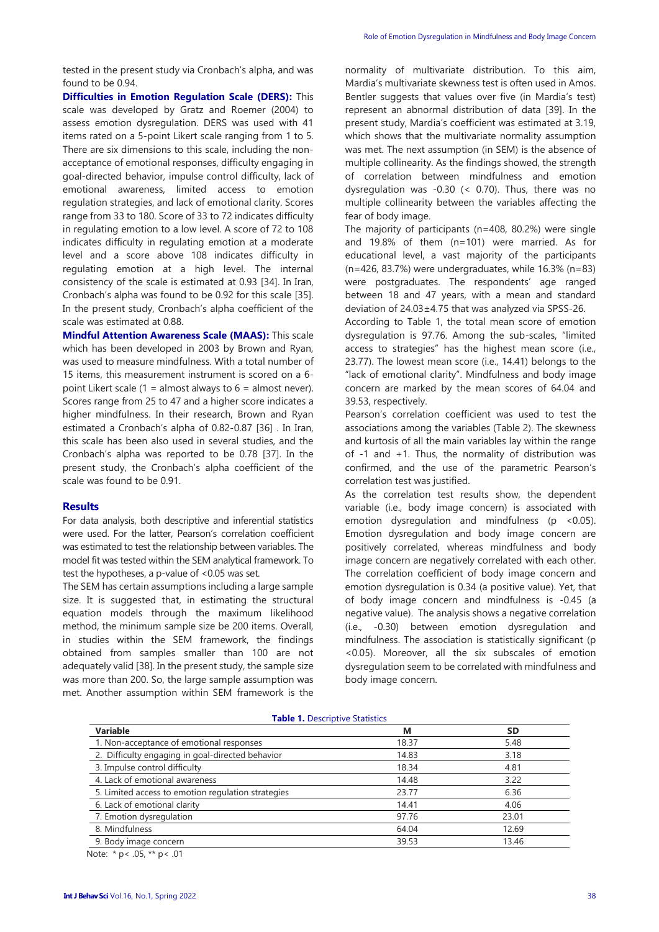tested in the present study via Cronbach's alpha, and was found to be 0.94.

**Difficulties in Emotion Regulation Scale (DERS):** This scale was developed by Gratz and Roemer (2004) to assess emotion dysregulation. DERS was used with 41 items rated on a 5-point Likert scale ranging from 1 to 5. There are six dimensions to this scale, including the nonacceptance of emotional responses, difficulty engaging in goal-directed behavior, impulse control difficulty, lack of emotional awareness, limited access to emotion regulation strategies, and lack of emotional clarity. Scores range from 33 to 180. Score of 33 to 72 indicates difficulty in regulating emotion to a low level. A score of 72 to 108 indicates difficulty in regulating emotion at a moderate level and a score above 108 indicates difficulty in regulating emotion at a high level. The internal consistency of the scale is estimated at 0.93 [34]. In Iran, Cronbach's alpha was found to be 0.92 for this scale [35]. In the present study, Cronbach's alpha coefficient of the scale was estimated at 0.88.

**Mindful Attention Awareness Scale (MAAS):** This scale which has been developed in 2003 by Brown and Ryan, was used to measure mindfulness. With a total number of 15 items, this measurement instrument is scored on a 6 point Likert scale (1 = almost always to  $6$  = almost never). Scores range from 25 to 47 and a higher score indicates a higher mindfulness. In their research, Brown and Ryan estimated a Cronbach's alpha of 0.82-0.87 [36] . In Iran, this scale has been also used in several studies, and the Cronbach's alpha was reported to be 0.78 [37]. In the present study, the Cronbach's alpha coefficient of the scale was found to be 0.91.

#### **Results**

For data analysis, both descriptive and inferential statistics were used. For the latter, Pearson's correlation coefficient was estimated to test the relationship between variables. The model fit was tested within the SEM analytical framework. To test the hypotheses, a p-value of <0.05 was set.

The SEM has certain assumptions including a large sample size. It is suggested that, in estimating the structural equation models through the maximum likelihood method, the minimum sample size be 200 items. Overall, in studies within the SEM framework, the findings obtained from samples smaller than 100 are not adequately valid [38]. In the present study, the sample size was more than 200. So, the large sample assumption was met. Another assumption within SEM framework is the normality of multivariate distribution. To this aim, Mardia's multivariate skewness test is often used in Amos. Bentler suggests that values over five (in Mardia's test) represent an abnormal distribution of data [39]. In the present study, Mardia's coefficient was estimated at 3.19, which shows that the multivariate normality assumption was met. The next assumption (in SEM) is the absence of multiple collinearity. As the findings showed, the strength of correlation between mindfulness and emotion dysregulation was -0.30 (< 0.70). Thus, there was no multiple collinearity between the variables affecting the fear of body image.

The majority of participants (n=408, 80.2%) were single and 19.8% of them (n=101) were married. As for educational level, a vast majority of the participants (n=426, 83.7%) were undergraduates, while 16.3% (n=83) were postgraduates. The respondents' age ranged between 18 and 47 years, with a mean and standard deviation of 24.03±4.75 that was analyzed via SPSS-26.

According to Table 1, the total mean score of emotion dysregulation is 97.76. Among the sub-scales, "limited access to strategies" has the highest mean score (i.e., 23.77). The lowest mean score (i.e., 14.41) belongs to the "lack of emotional clarity". Mindfulness and body image concern are marked by the mean scores of 64.04 and 39.53, respectively.

Pearson's correlation coefficient was used to test the associations among the variables (Table 2). The skewness and kurtosis of all the main variables lay within the range of -1 and +1. Thus, the normality of distribution was confirmed, and the use of the parametric Pearson's correlation test was justified.

As the correlation test results show, the dependent variable (i.e., body image concern) is associated with emotion dysregulation and mindfulness ( $p \le 0.05$ ). Emotion dysregulation and body image concern are positively correlated, whereas mindfulness and body image concern are negatively correlated with each other. The correlation coefficient of body image concern and emotion dysregulation is 0.34 (a positive value). Yet, that of body image concern and mindfulness is -0.45 (a negative value). The analysis shows a negative correlation (i.e., -0.30) between emotion dysregulation and mindfulness. The association is statistically significant (p <0.05). Moreover, all the six subscales of emotion dysregulation seem to be correlated with mindfulness and body image concern.

|  |  | <b>Table 1. Descriptive Statistics</b> |  |
|--|--|----------------------------------------|--|
|--|--|----------------------------------------|--|

| <b>Variable</b>                                    | M     | <b>SD</b> |
|----------------------------------------------------|-------|-----------|
| 1. Non-acceptance of emotional responses           | 18.37 | 5.48      |
| 2. Difficulty engaging in goal-directed behavior   | 14.83 | 3.18      |
| 3. Impulse control difficulty                      | 18.34 | 4.81      |
| 4. Lack of emotional awareness                     | 14.48 | 3.22      |
| 5. Limited access to emotion regulation strategies | 23.77 | 6.36      |
| 6. Lack of emotional clarity                       | 14.41 | 4.06      |
| 7. Emotion dysregulation                           | 97.76 | 23.01     |
| 8. Mindfulness                                     | 64.04 | 12.69     |
| 9. Body image concern                              | 39.53 | 13.46     |

Note: \* p< .05, \*\* p< .01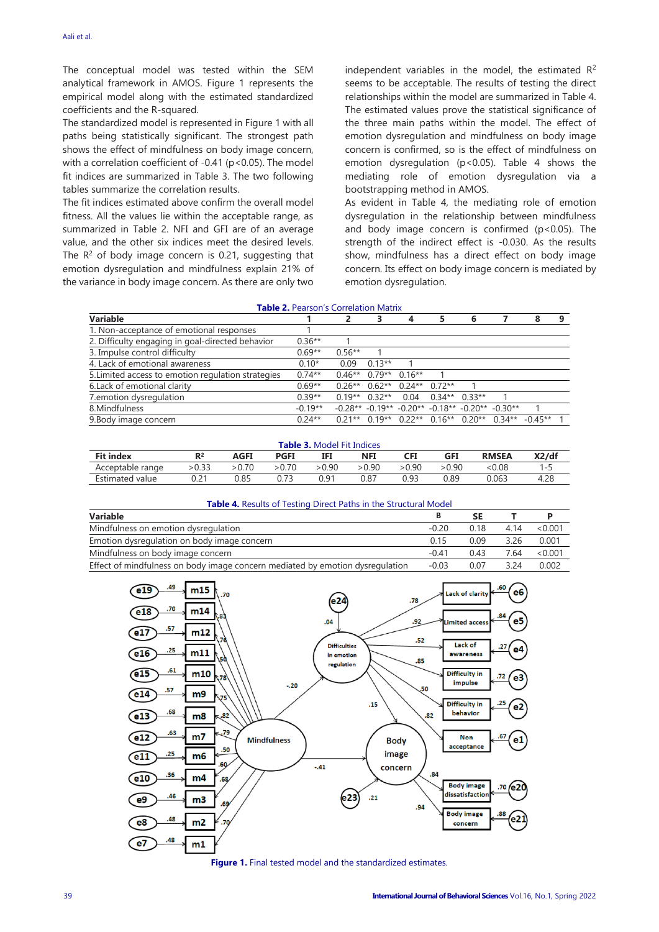The conceptual model was tested within the SEM analytical framework in AMOS. Figure 1 represents the empirical model along with the estimated standardized coefficients and the R-squared.

The standardized model is represented in Figure 1 with all paths being statistically significant. The strongest path shows the effect of mindfulness on body image concern, with a correlation coefficient of -0.41 (p<0.05). The model fit indices are summarized in Table 3. The two following tables summarize the correlation results.

The fit indices estimated above confirm the overall model fitness. All the values lie within the acceptable range, as summarized in Table 2. NFI and GFI are of an average value, and the other six indices meet the desired levels. The  $R^2$  of body image concern is 0.21, suggesting that emotion dysregulation and mindfulness explain 21% of the variance in body image concern. As there are only two independent variables in the model, the estimated  $R^2$ seems to be acceptable. The results of testing the direct relationships within the model are summarized in Table 4. The estimated values prove the statistical significance of the three main paths within the model. The effect of emotion dysregulation and mindfulness on body image concern is confirmed, so is the effect of mindfulness on emotion dysregulation (p<0.05). Table 4 shows the mediating role of emotion dysregulation via a bootstrapping method in AMOS.

As evident in Table 4, the mediating role of emotion dysregulation in the relationship between mindfulness and body image concern is confirmed  $(p<0.05)$ . The strength of the indirect effect is -0.030. As the results show, mindfulness has a direct effect on body image concern. Its effect on body image concern is mediated by emotion dysregulation.

#### **Table 2.** Pearson's Correlation Matrix

| Variable                                           |           | 2        |                            | 4                                                 |                 | 6 |                                                                 |  |
|----------------------------------------------------|-----------|----------|----------------------------|---------------------------------------------------|-----------------|---|-----------------------------------------------------------------|--|
| 1. Non-acceptance of emotional responses           |           |          |                            |                                                   |                 |   |                                                                 |  |
| 2. Difficulty engaging in goal-directed behavior   | $0.36**$  |          |                            |                                                   |                 |   |                                                                 |  |
| 3. Impulse control difficulty                      | $0.69**$  | $0.56**$ |                            |                                                   |                 |   |                                                                 |  |
| 4. Lack of emotional awareness                     | $0.10*$   | 0.09     | $0.13**$                   |                                                   |                 |   |                                                                 |  |
| 5. Limited access to emotion regulation strategies | $0.74**$  |          | $0.46**$ $0.79**$ $0.16**$ |                                                   |                 |   |                                                                 |  |
| 6. Lack of emotional clarity                       | $0.69**$  |          |                            | $0.26**$ $0.62**$ $0.24**$ $0.72**$               |                 |   |                                                                 |  |
| 7. emotion dysregulation                           | $0.39**$  |          | $0.19**0.32**$             | 0.04                                              | $0.34**$ 0.33** |   |                                                                 |  |
| 8.Mindfulness                                      | $-0.19**$ |          |                            | $-0.28** -0.19** -0.20** -0.18** -0.20** -0.30**$ |                 |   |                                                                 |  |
| 9. Body image concern                              | $0.24**$  |          |                            |                                                   |                 |   | $0.21**$ $0.19**$ $0.22**$ $0.16**$ $0.20**$ $0.34**$ $-0.45**$ |  |

| <b>Table 3. Model Fit Indices</b> |       |        |             |        |            |        |        |              |       |  |
|-----------------------------------|-------|--------|-------------|--------|------------|--------|--------|--------------|-------|--|
| <b>Fit index</b>                  |       | AGFI   | <b>PGFI</b> |        | <b>NFI</b> | CFI    | GFI    | <b>RMSEA</b> | X2/df |  |
| Acceptable range                  | >0.33 | > 0.70 | > 0.70      | > 0.90 | > 0.90     | > 0.90 | > 0.90 | &0.08        | 1-5   |  |
| Estimated value                   |       | 0.85   |             | 0.91   | 0.87       | 0.93   | 0.89   | 0.063        | 4.28  |  |

| Table 4. Results of Testing Direct Paths in the Structural Model |
|------------------------------------------------------------------|
|------------------------------------------------------------------|

| Variable                                                                      | в       | SΕ   |      |         |
|-------------------------------------------------------------------------------|---------|------|------|---------|
| Mindfulness on emotion dysregulation                                          | $-0.20$ | 0 18 | 4 14 | < 0.001 |
| Emotion dysregulation on body image concern                                   | 0.15    | 0.09 | 3.26 | 0.001   |
| Mindfulness on body image concern                                             | $-0.41$ | 0.43 | 7 64 | < 0.001 |
| Effect of mindfulness on body image concern mediated by emotion dysregulation | $-0.03$ | 0.07 | 3 24 | 0.002   |



**Figure 1.** Final tested model and the standardized estimates.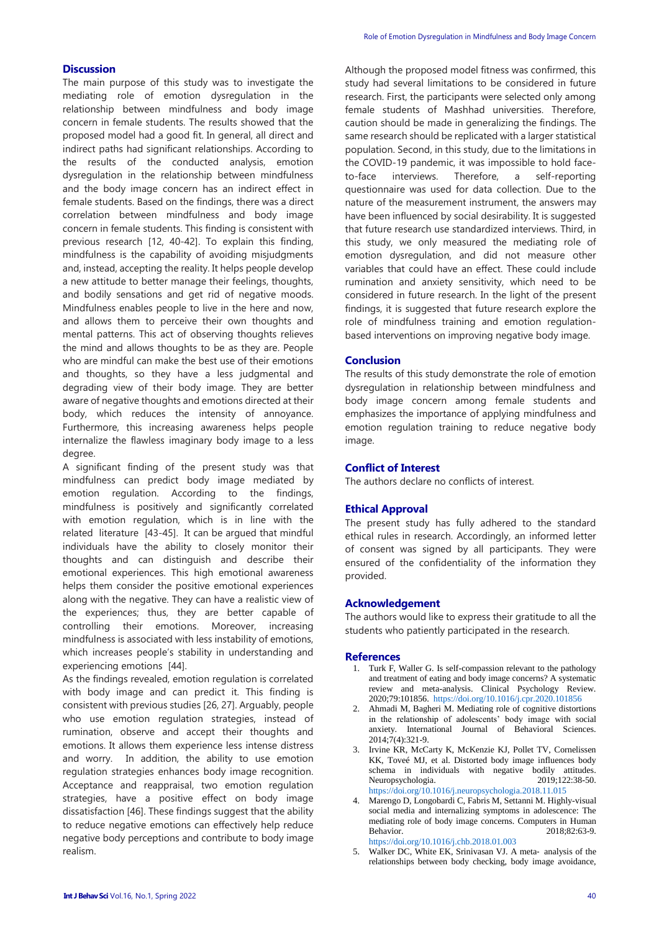# **Discussion**

The main purpose of this study was to investigate the mediating role of emotion dysregulation in the relationship between mindfulness and body image concern in female students. The results showed that the proposed model had a good fit. In general, all direct and indirect paths had significant relationships. According to the results of the conducted analysis, emotion dysregulation in the relationship between mindfulness and the body image concern has an indirect effect in female students. Based on the findings, there was a direct correlation between mindfulness and body image concern in female students. This finding is consistent with previous research [12, 40-42]. To explain this finding, mindfulness is the capability of avoiding misjudgments and, instead, accepting the reality. It helps people develop a new attitude to better manage their feelings, thoughts, and bodily sensations and get rid of negative moods. Mindfulness enables people to live in the here and now, and allows them to perceive their own thoughts and mental patterns. This act of observing thoughts relieves the mind and allows thoughts to be as they are. People who are mindful can make the best use of their emotions and thoughts, so they have a less judgmental and degrading view of their body image. They are better aware of negative thoughts and emotions directed at their body, which reduces the intensity of annoyance. Furthermore, this increasing awareness helps people internalize the flawless imaginary body image to a less degree.

A significant finding of the present study was that mindfulness can predict body image mediated by emotion regulation. According to the findings, mindfulness is positively and significantly correlated with emotion regulation, which is in line with the related literature [43-45]. It can be argued that mindful individuals have the ability to closely monitor their thoughts and can distinguish and describe their emotional experiences. This high emotional awareness helps them consider the positive emotional experiences along with the negative. They can have a realistic view of the experiences; thus, they are better capable of controlling their emotions. Moreover, increasing mindfulness is associated with less instability of emotions, which increases people's stability in understanding and experiencing emotions [44].

As the findings revealed, emotion regulation is correlated with body image and can predict it. This finding is consistent with previous studies [26, 27]. Arguably, people who use emotion regulation strategies, instead of rumination, observe and accept their thoughts and emotions. It allows them experience less intense distress and worry. In addition, the ability to use emotion regulation strategies enhances body image recognition. Acceptance and reappraisal, two emotion regulation strategies, have a positive effect on body image dissatisfaction [46]. These findings suggest that the ability to reduce negative emotions can effectively help reduce negative body perceptions and contribute to body image realism.

Although the proposed model fitness was confirmed, this study had several limitations to be considered in future research. First, the participants were selected only among female students of Mashhad universities. Therefore, caution should be made in generalizing the findings. The same research should be replicated with a larger statistical population. Second, in this study, due to the limitations in the COVID-19 pandemic, it was impossible to hold faceto-face interviews. Therefore, a self-reporting questionnaire was used for data collection. Due to the nature of the measurement instrument, the answers may have been influenced by social desirability. It is suggested that future research use standardized interviews. Third, in this study, we only measured the mediating role of emotion dysregulation, and did not measure other variables that could have an effect. These could include rumination and anxiety sensitivity, which need to be considered in future research. In the light of the present findings, it is suggested that future research explore the role of mindfulness training and emotion regulationbased interventions on improving negative body image.

# **Conclusion**

The results of this study demonstrate the role of emotion dysregulation in relationship between mindfulness and body image concern among female students and emphasizes the importance of applying mindfulness and emotion regulation training to reduce negative body image.

# **Conflict of Interest**

The authors declare no conflicts of interest.

#### **Ethical Approval**

The present study has fully adhered to the standard ethical rules in research. Accordingly, an informed letter of consent was signed by all participants. They were ensured of the confidentiality of the information they provided.

# **Acknowledgement**

The authors would like to express their gratitude to all the students who patiently participated in the research.

#### **References**

- 1. Turk F, Waller G. Is self-compassion relevant to the pathology and treatment of eating and body image concerns? A systematic review and meta-analysis. Clinical Psychology Review. 2020;79:101856.<https://doi.org/10.1016/j.cpr.2020.101856>
- 2. Ahmadi M, Bagheri M. Mediating role of cognitive distortions in the relationship of adolescents' body image with social anxiety. International Journal of Behavioral Sciences. 2014;7(4):321-9.
- 3. Irvine KR, McCarty K, McKenzie KJ, Pollet TV, Cornelissen KK, Toveé MJ, et al. Distorted body image influences body schema in individuals with negative bodily attitudes.<br>Neuropsychologia. 2019;122:38-50. Neuropsychologia. <https://doi.org/10.1016/j.neuropsychologia.2018.11.015>
- 4. Marengo D, Longobardi C, Fabris M, Settanni M. Highly-visual social media and internalizing symptoms in adolescence: The mediating role of body image concerns. Computers in Human Behavior. 2018;82:63-9. <https://doi.org/10.1016/j.chb.2018.01.003>
- 5. Walker DC, White EK, Srinivasan VJ. A meta‐ analysis of the relationships between body checking, body image avoidance,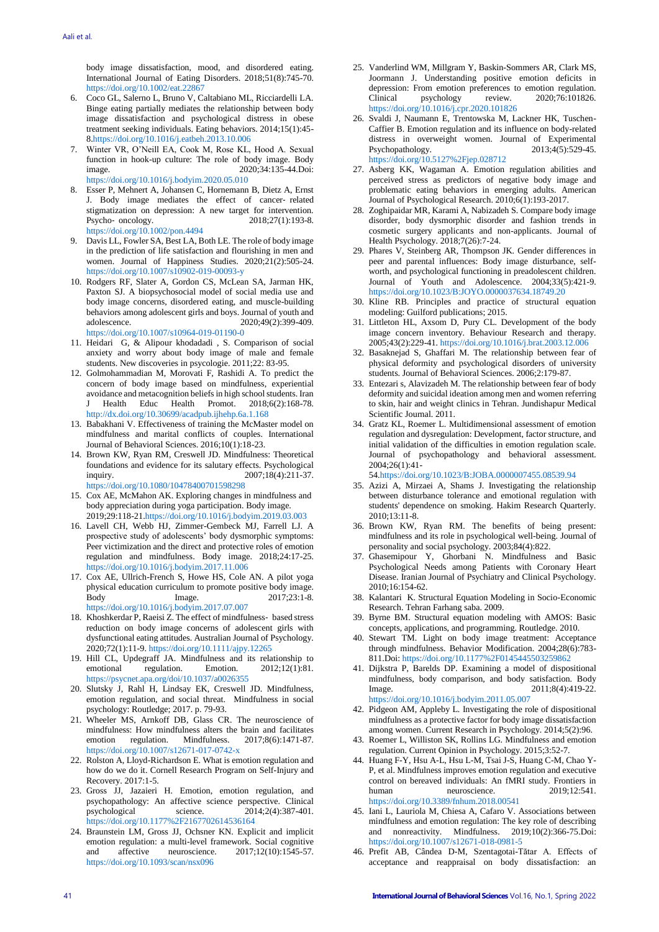body image dissatisfaction, mood, and disordered eating. International Journal of Eating Disorders. 2018;51(8):745-70. <https://doi.org/10.1002/eat.22867>

- 6. Coco GL, Salerno L, Bruno V, Caltabiano ML, Ricciardelli LA. Binge eating partially mediates the relationship between body image dissatisfaction and psychological distress in obese treatment seeking individuals. Eating behaviors. 2014;15(1):45- [8.https://doi.org/10.1016/j.eatbeh.2013.10.006](https://doi.org/10.1016/j.eatbeh.2013.10.006)
- 7. Winter VR, O'Neill EA, Cook M, Rose KL, Hood A. Sexual function in hook-up culture: The role of body image. Body image. 2020;34:135-44.Doi: <https://doi.org/10.1016/j.bodyim.2020.05.010>
- 8. Esser P, Mehnert A, Johansen C, Hornemann B, Dietz A, Ernst J. Body image mediates the effect of cancer‐ related stigmatization on depression: A new target for intervention. Psycho- oncology. 2018;27(1):193-8. <https://doi.org/10.1002/pon.4494>
- 9. Davis LL, Fowler SA, Best LA, Both LE. The role of body image in the prediction of life satisfaction and flourishing in men and women. Journal of Happiness Studies. 2020;21(2):505-24. <https://doi.org/10.1007/s10902-019-00093-y>
- 10. Rodgers RF, Slater A, Gordon CS, McLean SA, Jarman HK, Paxton SJ. A biopsychosocial model of social media use and body image concerns, disordered eating, and muscle-building behaviors among adolescent girls and boys. Journal of youth and adolescence. 2020;49(2):399-409. <https://doi.org/10.1007/s10964-019-01190-0>
- 11. Heidari G, & Alipour khodadadi , S. Comparison of social anxiety and worry about body image of male and female students. New discoveries in psycologie. 2011;22: 83-95.
- 12. Golmohammadian M, Morovati F, Rashidi A. To predict the concern of body image based on mindfulness, experiential avoidance and metacognition beliefs in high school students. Iran<br>J Health Educ Health Promot. 2018;6(2):168-78. Health Promot.  $2018;6(2):168-78$ . <http://dx.doi.org/10.30699/acadpub.ijhehp.6a.1.168>
- 13. Babakhani V. Effectiveness of training the McMaster model on mindfulness and marital conflicts of couples. International Journal of Behavioral Sciences. 2016;10(1):18-23.
- 14. Brown KW, Ryan RM, Creswell JD. Mindfulness: Theoretical foundations and evidence for its salutary effects. Psychological inquiry. 2007;18(4):211-37. <https://doi.org/10.1080/10478400701598298>
- 15. Cox AE, McMahon AK. Exploring changes in mindfulness and body appreciation during yoga participation. Body image. 2019;29:118-2[1.https://doi.org/10.1016/j.bodyim.2019.03.003](https://doi.org/10.1016/j.bodyim.2019.03.003)
- 16. Lavell CH, Webb HJ, Zimmer-Gembeck MJ, Farrell LJ. A prospective study of adolescents' body dysmorphic symptoms: Peer victimization and the direct and protective roles of emotion regulation and mindfulness. Body image. 2018;24:17-25. <https://doi.org/10.1016/j.bodyim.2017.11.006>
- 17. Cox AE, Ullrich-French S, Howe HS, Cole AN. A pilot yoga physical education curriculum to promote positive body image.<br>Body Image. 2017;23:1-8. Body Image. 2017;23:1-8. <https://doi.org/10.1016/j.bodyim.2017.07.007>
- 18. Khoshkerdar P, Raeisi Z. The effect of mindfulness‐ based stress reduction on body image concerns of adolescent girls with dysfunctional eating attitudes. Australian Journal of Psychology. 2020;72(1):11-9. <https://doi.org/10.1111/ajpy.12265>
- 19. Hill CL, Updegraff JA. Mindfulness and its relationship to emotional regulation. Emotion. 2012;12(1):81. <https://psycnet.apa.org/doi/10.1037/a0026355>
- 20. Slutsky J, Rahl H, Lindsay EK, Creswell JD. Mindfulness, emotion regulation, and social threat. Mindfulness in social psychology: Routledge; 2017. p. 79-93.
- 21. Wheeler MS, Arnkoff DB, Glass CR. The neuroscience of mindfulness: How mindfulness alters the brain and facilitates emotion regulation. Mindfulness. 2017;8(6):1471-87. <https://doi.org/10.1007/s12671-017-0742-x>
- 22. Rolston A, Lloyd-Richardson E. What is emotion regulation and how do we do it. Cornell Research Program on Self-Injury and Recovery. 2017:1-5.
- 23. Gross JJ, Jazaieri H. Emotion, emotion regulation, and psychopathology: An affective science perspective. Clinical psychological science.  $2014;2(4):387-401$ . <https://doi.org/10.1177%2F2167702614536164>
- 24. Braunstein LM, Gross JJ, Ochsner KN. Explicit and implicit emotion regulation: a multi-level framework. Social cognitive<br>and affective neuroscience. 2017:12(10):1545-57. and affective neuroscience. 2017;12(10):1545-57. <https://doi.org/10.1093/scan/nsx096>
- 25. Vanderlind WM, Millgram Y, Baskin-Sommers AR, Clark MS, Joormann J. Understanding positive emotion deficits in depression: From emotion preferences to emotion regulation.<br>Clinical psychology review. 2020;76:101826. Clinical psychology review. 2020;76:101826. <https://doi.org/10.1016/j.cpr.2020.101826>
- 26. Svaldi J, Naumann E, Trentowska M, Lackner HK, Tuschen-Caffier B. Emotion regulation and its influence on body-related distress in overweight women. Journal of Experimental Psychopathology. 2013;4(5):529-45. <https://doi.org/10.5127%2Fjep.028712>
- 27. Asberg KK, Wagaman A. Emotion regulation abilities and perceived stress as predictors of negative body image and problematic eating behaviors in emerging adults. American Journal of Psychological Research. 2010;6(1):193-2017.
- 28. Zoghipaidar MR, Karami A, Nabizadeh S. Compare body image disorder, body dysmorphic disorder and fashion trends in cosmetic surgery applicants and non-applicants. Journal of Health Psychology. 2018;7(26):7-24.
- 29. Phares V, Steinberg AR, Thompson JK. Gender differences in peer and parental influences: Body image disturbance, selfworth, and psychological functioning in preadolescent children. Journal of Youth and Adolescence. 2004;33(5):421-9. <https://doi.org/10.1023/B:JOYO.0000037634.18749.20>
- 30. Kline RB. Principles and practice of structural equation modeling: Guilford publications; 2015.
- 31. Littleton HL, Axsom D, Pury CL. Development of the body image concern inventory. Behaviour Research and therapy. 2005;43(2):229-41. <https://doi.org/10.1016/j.brat.2003.12.006>
- 32. Basaknejad S, Ghaffari M. The relationship between fear of physical deformity and psychological disorders of university students. Journal of Behavioral Sciences. 2006;2:179-87.
- 33. Entezari s, Alavizadeh M. The relationship between fear of body deformity and suicidal ideation among men and women referring to skin, hair and weight clinics in Tehran. Jundishapur Medical Scientific Journal. 2011.
- 34. Gratz KL, Roemer L. Multidimensional assessment of emotion regulation and dysregulation: Development, factor structure, and initial validation of the difficulties in emotion regulation scale. Journal of psychopathology and behavioral assessment. 2004;26(1):41-

5[4.https://doi.org/10.1023/B:JOBA.0000007455.08539.94](https://doi.org/10.1023/B:JOBA.0000007455.08539.94)

- 35. Azizi A, Mirzaei A, Shams J. Investigating the relationship between disturbance tolerance and emotional regulation with students' dependence on smoking. Hakim Research Quarterly.  $2010:13:11-8$
- 36. Brown KW, Ryan RM. The benefits of being present: mindfulness and its role in psychological well-being. Journal of personality and social psychology. 2003;84(4):822.
- 37. Ghasemipour Y. Ghorbani N. Mindfulness and Basic Psychological Needs among Patients with Coronary Heart Disease. Iranian Journal of Psychiatry and Clinical Psychology. 2010;16:154-62.
- 38. Kalantari K. Structural Equation Modeling in Socio-Economic Research. Tehran Farhang saba. 2009.
- 39. Byrne BM. Structural equation modeling with AMOS: Basic concepts, applications, and programming. Routledge. 2010.
- 40. Stewart TM. Light on body image treatment: Acceptance through mindfulness. Behavior Modification. 2004;28(6):783- 811.Doi[: https://doi.org/10.1177%2F0145445503259862](https://doi.org/10.1177%2F0145445503259862)
- 41. Dijkstra P, Barelds DP. Examining a model of dispositional mindfulness, body comparison, and body satisfaction. Body Image. 2011;8(4):419-22. <https://doi.org/10.1016/j.bodyim.2011.05.007>
- 42. Pidgeon AM, Appleby L. Investigating the role of dispositional mindfulness as a protective factor for body image dissatisfaction among women. Current Research in Psychology. 2014;5(2):96.
- 43. Roemer L, Williston SK, Rollins LG. Mindfulness and emotion regulation. Current Opinion in Psychology. 2015;3:52-7.
- 44. Huang F-Y, Hsu A-L, Hsu L-M, Tsai J-S, Huang C-M, Chao Y-P, et al. Mindfulness improves emotion regulation and executive control on bereaved individuals: An fMRI study. Frontiers in human neuroscience. 2019;12:541. <https://doi.org/10.3389/fnhum.2018.00541>
- 45. Iani L, Lauriola M, Chiesa A, Cafaro V. Associations between mindfulness and emotion regulation: The key role of describing and nonreactivity. Mindfulness. 2019;10(2):366-75.Doi: <https://doi.org/10.1007/s12671-018-0981-5>
- 46. Prefit AB, Cândea D-M, Szentagotai-Tătar A. Effects of acceptance and reappraisal on body dissatisfaction: an